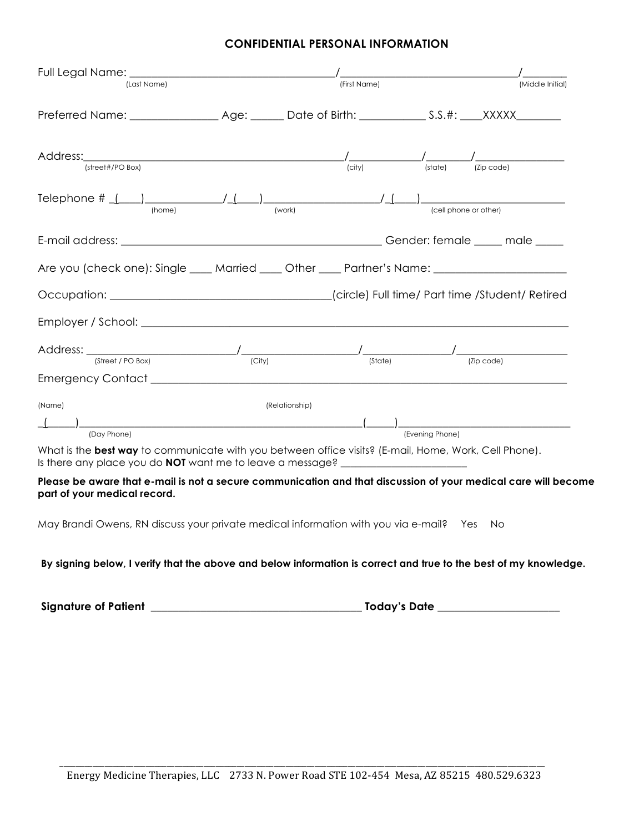## **CONFIDENTIAL PERSONAL INFORMATION**

| (Last Name)                                                                                                                                                                                                                           |                | (First Name) |                 | (Middle Initial)                                                                   |
|---------------------------------------------------------------------------------------------------------------------------------------------------------------------------------------------------------------------------------------|----------------|--------------|-----------------|------------------------------------------------------------------------------------|
|                                                                                                                                                                                                                                       |                |              |                 |                                                                                    |
| (street#/PO Box)                                                                                                                                                                                                                      |                | (city)       |                 | $\frac{1}{\text{(city)}}$ $\frac{1}{\text{(state)}}$ $\frac{1}{\text{(zip code)}}$ |
| Telephone # $($   $)$   $($   $)$   $($   $)$   $($   $)$   $($   $)$   $($   $)$   $($   $)$   $($   $)$   $($   $)$   $($   $)$   $($   $)$   $($   $)$   $($   $)$   $($   $)$   $($   $)$   $($   $)$   $($   $)$   $($<br>(home) | (work)         |              |                 | (cell phone or other)                                                              |
|                                                                                                                                                                                                                                       |                |              |                 |                                                                                    |
| Are you (check one): Single ____ Married ____ Other ____ Partner's Name: __________________________                                                                                                                                   |                |              |                 |                                                                                    |
|                                                                                                                                                                                                                                       |                |              |                 |                                                                                    |
|                                                                                                                                                                                                                                       |                |              |                 |                                                                                    |
|                                                                                                                                                                                                                                       |                |              |                 |                                                                                    |
| (Street / PO Box)                                                                                                                                                                                                                     | (City)         | (State)      |                 | (Zip code)                                                                         |
| (Name)                                                                                                                                                                                                                                | (Relationship) |              |                 |                                                                                    |
|                                                                                                                                                                                                                                       |                |              |                 |                                                                                    |
| (Day Phone)<br>What is the <b>hest way</b> to communicate with you between office visite? (E-mail Home Work Cell Phone)                                                                                                               |                |              | (Evening Phone) |                                                                                    |

What is the **best way** to communicate with you between office visits? (E-mail, Home, Work, Cell Phone). Is there any place you do **NOT** want me to leave a message?

**Please be aware that e-mail is not a secure communication and that discussion of your medical care will become part of your medical record.** 

May Brandi Owens, RN discuss your private medical information with you via e-mail? Yes No

## **By signing below, I verify that the above and below information is correct and true to the best of my knowledge.**

**Signature of Patient \_\_\_\_\_\_\_\_\_\_\_\_\_\_\_\_\_\_\_\_\_\_\_\_\_\_\_\_\_\_\_\_\_\_\_\_\_\_ Today's Date \_\_\_\_\_\_\_\_\_\_\_\_\_\_\_\_\_\_\_\_\_\_**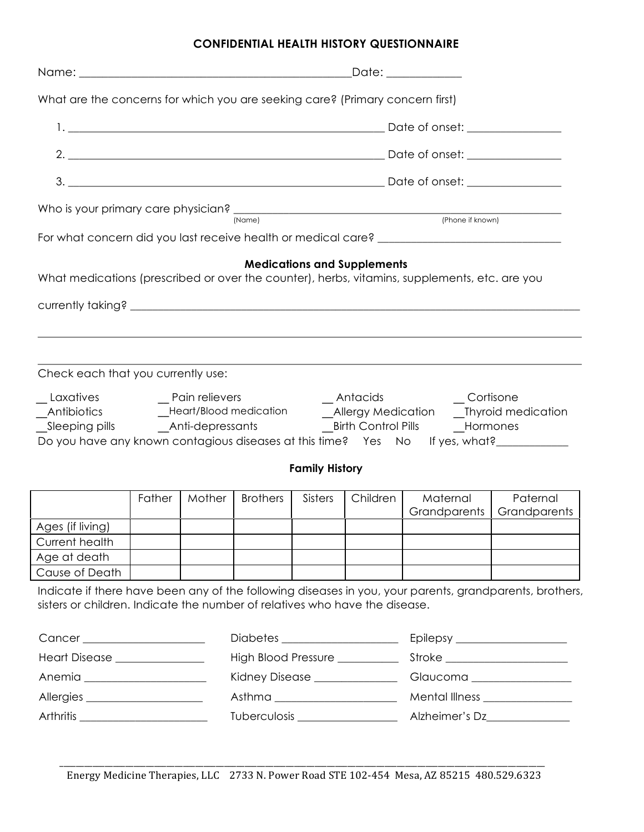# **CONFIDENTIAL HEALTH HISTORY QUESTIONNAIRE**

| What are the concerns for which you are seeking care? (Primary concern first)                                                                                                                                                    |                                                                              |        |                 |                       |                                    |                          |                          |  |  |
|----------------------------------------------------------------------------------------------------------------------------------------------------------------------------------------------------------------------------------|------------------------------------------------------------------------------|--------|-----------------|-----------------------|------------------------------------|--------------------------|--------------------------|--|--|
|                                                                                                                                                                                                                                  |                                                                              |        |                 |                       |                                    |                          |                          |  |  |
|                                                                                                                                                                                                                                  |                                                                              |        |                 |                       |                                    |                          |                          |  |  |
|                                                                                                                                                                                                                                  |                                                                              |        |                 |                       |                                    |                          |                          |  |  |
| Who is your primary care physician?<br>Notice the physician of the contract of the contract of the contract of the contract of the contract of the contract of the contract of the contract of the contract of the contract of t |                                                                              |        |                 |                       |                                    |                          |                          |  |  |
|                                                                                                                                                                                                                                  |                                                                              |        |                 |                       |                                    |                          |                          |  |  |
| What medications (prescribed or over the counter), herbs, vitamins, supplements, etc. are you                                                                                                                                    |                                                                              |        |                 |                       | <b>Medications and Supplements</b> |                          |                          |  |  |
| Check each that you currently use:                                                                                                                                                                                               |                                                                              |        |                 |                       |                                    |                          |                          |  |  |
|                                                                                                                                                                                                                                  | Do you have any known contagious diseases at this time? Yes No If yes, what? |        |                 |                       |                                    |                          |                          |  |  |
|                                                                                                                                                                                                                                  |                                                                              |        |                 | <b>Family History</b> |                                    |                          |                          |  |  |
|                                                                                                                                                                                                                                  | Father                                                                       | Mother | <b>Brothers</b> | Sisters               | Children                           | Maternal<br>Grandparents | Paternal<br>Grandparents |  |  |
| Ages (if living)                                                                                                                                                                                                                 |                                                                              |        |                 |                       |                                    |                          |                          |  |  |
| Current health                                                                                                                                                                                                                   |                                                                              |        |                 |                       |                                    |                          |                          |  |  |
| Age at death                                                                                                                                                                                                                     |                                                                              |        |                 |                       |                                    |                          |                          |  |  |
| Cause of Death                                                                                                                                                                                                                   |                                                                              |        |                 |                       |                                    |                          |                          |  |  |
| Indicate if there have been any of the following diseases in you, your parents, grandparents, brothers,<br>sisters or children. Indicate the number of relatives who have the disease.                                           |                                                                              |        |                 |                       |                                    |                          |                          |  |  |
| Cancer ______________________                                                                                                                                                                                                    |                                                                              |        |                 |                       |                                    |                          |                          |  |  |

| <b>Heart Disease</b> | High Blood Pressure | Stroke         |
|----------------------|---------------------|----------------|
| Anemia               | Kidney Disease _    | Glaucoma       |
| Allergies            | Asthma              | Mental Illness |
| Arthritis            | <b>Tuberculosis</b> | Alzheimer's Dz |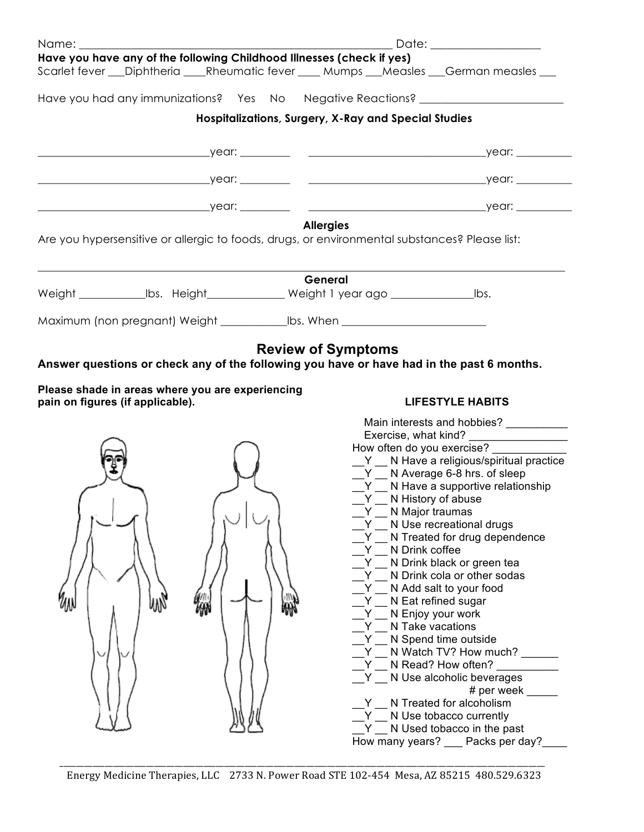| Name: when the contract of the contract of the contract of the contract of the contract of the contract of the                                                       | Date: __________________                                                                                                                                                                                                                                                                                                                                                                                                                                                                                                                                         |
|----------------------------------------------------------------------------------------------------------------------------------------------------------------------|------------------------------------------------------------------------------------------------------------------------------------------------------------------------------------------------------------------------------------------------------------------------------------------------------------------------------------------------------------------------------------------------------------------------------------------------------------------------------------------------------------------------------------------------------------------|
| Have you have any of the following Childhood Illnesses (check if yes)<br>Scarlet fever ___Diphtheria ____Rheumatic fever ____ Mumps ___Measles ___German measles ___ |                                                                                                                                                                                                                                                                                                                                                                                                                                                                                                                                                                  |
| Have you had any immunizations? Yes No Negative Reactions? _____________________                                                                                     |                                                                                                                                                                                                                                                                                                                                                                                                                                                                                                                                                                  |
|                                                                                                                                                                      | Hospitalizations, Surgery, X-Ray and Special Studies                                                                                                                                                                                                                                                                                                                                                                                                                                                                                                             |
|                                                                                                                                                                      |                                                                                                                                                                                                                                                                                                                                                                                                                                                                                                                                                                  |
|                                                                                                                                                                      |                                                                                                                                                                                                                                                                                                                                                                                                                                                                                                                                                                  |
|                                                                                                                                                                      |                                                                                                                                                                                                                                                                                                                                                                                                                                                                                                                                                                  |
| <b>Allergies</b><br>Are you hypersensitive or allergic to foods, drugs, or environmental substances? Please list:                                                    |                                                                                                                                                                                                                                                                                                                                                                                                                                                                                                                                                                  |
| General<br>Weight ________________lbs. Height_______________ Weight 1 year ago ______________________lbs.                                                            |                                                                                                                                                                                                                                                                                                                                                                                                                                                                                                                                                                  |
| Maximum (non pregnant) Weight ______________bs. When ___________________________                                                                                     |                                                                                                                                                                                                                                                                                                                                                                                                                                                                                                                                                                  |
| pain on figures (if applicable).                                                                                                                                     | <b>LIFESTYLE HABITS</b><br>Main interests and hobbies?<br>How often do you exercise?<br>Y N Have a religious/spiritual practice                                                                                                                                                                                                                                                                                                                                                                                                                                  |
| ₩<br>₩<br>MN                                                                                                                                                         | $Y$ N Average 6-8 hrs. of sleep<br>$Y$ N Have a supportive relationship<br>Y N History of abuse<br>N Major traumas<br>N Use recreational drugs<br>N Treated for drug dependence<br>N Drink coffee<br>N Drink black or green tea<br>N Drink cola or other sodas<br>N Add salt to your food<br>N Eat refined sugar<br>N Enjoy your work<br>N Take vacations<br>N Spend time outside<br>N Watch TV? How much?<br>N Read? How often?<br>N Use alcoholic beverages<br># per week<br>N Treated for alcoholism<br>N Use tobacco currently<br>N Used tobacco in the past |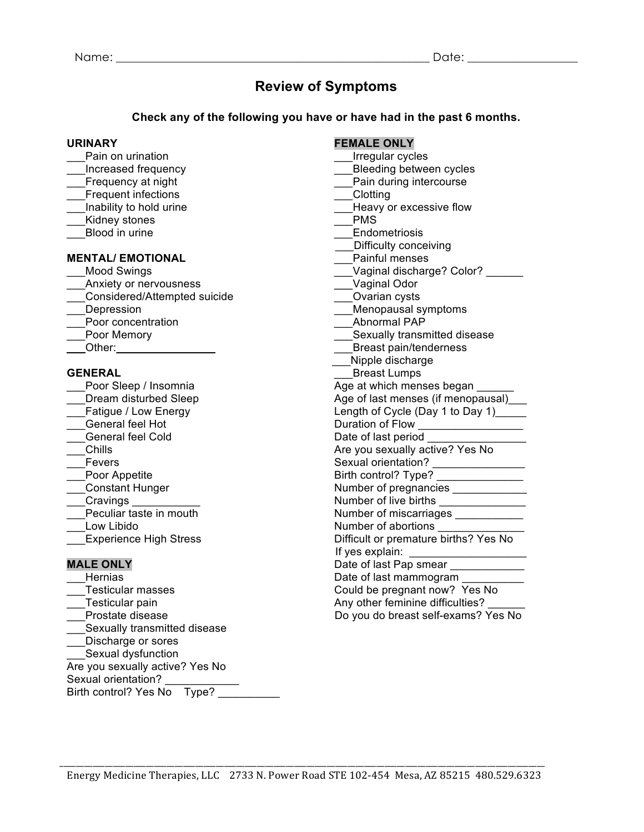# **Review of Symptoms**

# **Check any of the following you have or have had in the past 6 months.**

- 
- 
- 
- Frequent infections **Example 20** Clotting
- 
- 
- 

### **MENTAL/ EMOTIONAL**

- 
- Anxiety or nervousness example and the Vaginal Odor
- \_\_\_Considered/Attempted suicide \_\_\_Ovarian cysts
- 
- Poor concentration
- 
- 

- 
- 
- 
- 
- 
- 
- 
- 
- 
- 
- 
- 
- 

Hernias **Date of last mammogram Date of last mammogram** Testicular masses The Could be pregnant now? Yes No \_\_\_Testicular pain Any other feminine difficulties? \_\_\_\_\_\_ Sexually transmitted disease \_\_\_Discharge or sores Sexual dysfunction Are you sexually active? Yes No Sexual orientation? Birth control? Yes No Type?

# **URINARY FEMALE ONLY**

- Pain on urination **Example 20** Pain on urination **Pain Cycles**
- Increased frequency **Exercise Exercise Secure 2** Bleeding between cycles
- Frequency at night **Exercise** Exercise **Pain during intercourse** 
	-
- Inability to hold urine the same state of the Heavy or excessive flow

Kidney stones **EXAMPLE STATES** PMS

- Blood in urine **Endometriosis** 
	- \_\_Difficulty conceiving<br>Painful menses
	-
- \_\_\_Mood Swings \_\_\_Vaginal discharge? Color? \_\_\_\_\_\_
	-
	-
	- \_\_\_Menopausal symptoms<br>\_\_\_Abnormal PAP
	-
- Poor Memory **Example 20** Sexually transmitted disease
- Other: example and the contract of the Breast pain/tenderness
	- \_\_\_Nipple discharge
- **GENERAL** Breast Lumps
- Poor Sleep / Insomnia and all the Age at which menses began
	- Dream disturbed Sleep Age of last menses (if menopausal)
	- Fatigue / Low Energy Length of Cycle (Day 1 to Day 1)
	- Let General feel Hot Contact The Duration of Flow Contact Telecommunication of Flow Contact Telecommunication of Flow Contact Telecommunication of Flow Contact Telecommunication of Flow Contact Telecommunication of Flow Co
	- Let General feel Cold  $\Box$  Date of last period
- \_\_\_Chills Are you sexually active? Yes No
- \_\_\_Fevers Sexual orientation? \_\_\_\_\_\_\_\_\_\_\_\_\_\_\_
- \_\_\_Poor Appetite Birth control? Type? \_\_\_\_\_\_\_\_\_\_\_\_\_\_ \_\_\_Constant Hunger Number of pregnancies \_\_\_\_\_\_\_\_\_\_\_\_
	-
- \_\_\_Cravings \_\_\_\_\_\_\_\_\_\_\_ Number of live births \_\_\_\_\_\_\_\_\_\_\_\_\_\_ Number of miscarriages \_\_\_\_\_\_\_\_\_\_\_
- Low Libido **Number of abortions Number of abortions**
- Experience High Stress **Experience High Stress** Difficult or premature births? Yes No
- If yes explain: \_\_\_\_\_\_\_\_\_\_\_\_\_\_\_\_\_\_\_ **MALE ONLY** Date of last Pap smear \_\_\_\_\_\_\_\_\_\_\_\_
	-
	-
	- Do you do breast self-exams? Yes No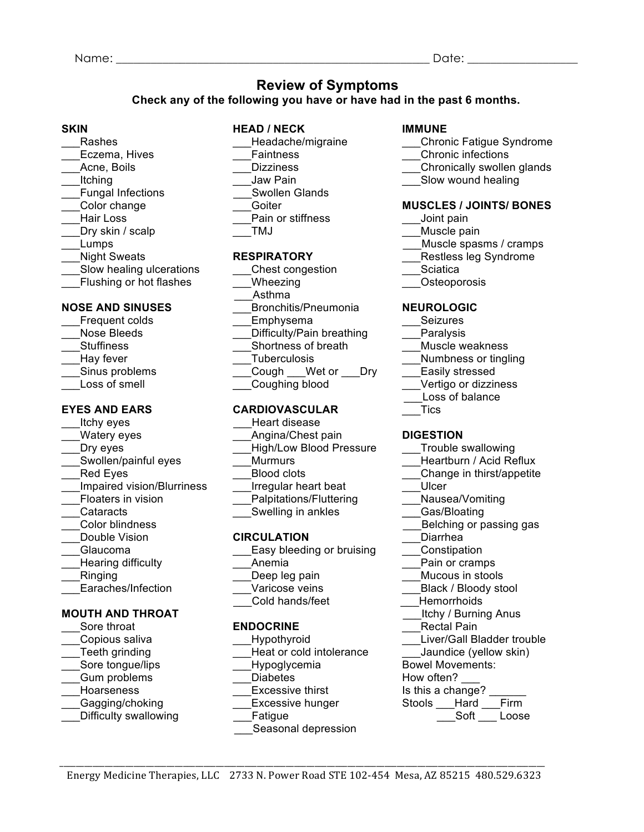# **Review of Symptoms**

**Check any of the following you have or have had in the past 6 months.** 

- 
- 
- 
- Fungal Infections **Example 2** Swollen Glands
- 
- 
- 
- 
- 
- 
- Lacktriang ulcerations Lacktriangleright Chest congestion Lacktriangleright Chest congestion
- 

# **NOSE AND SINUSES NOSE AND SINUSES Report Exercise** Bronchitis/Pneumonia **NEUROLOGIC**

- Frequent colds **Emphysema Emphysema Seizures** Nose Bleeds \_\_\_\_\_\_\_\_\_\_\_\_\_\_\_Difficulty/Pain breathing \_\_\_\_\_\_Paralysis
- 
- 
- 
- 

# **EYES AND EARS CARDIOVASCULAR TICS**

- Itchy eyes **Exercise Exercise** Heart disease
- 
- 
- 
- 
- Impaired vision/Blurriness Tregular heart beat **Ulcer**
- 
- 
- 
- 
- 
- 
- 
- 

- 
- 
- 
- 
- 
- 
- 
- 

# **SKIN HEAD / NECK IMMUNE**

- 
- 
- 
- Itching **Example 2** Income of the USI Density Pain **Solution Contract Contract Pain Contract Pain Contract Pain Contract Pain Contract Pain Contract Pain Contract Pain Contract Pain Contract Pain Contract Pain Contract Pai**

# \_\_\_Color change \_\_\_Goiter **MUSCLES / JOINTS/ BONES**

- Hair Loss **Early Communist Communist Pain or stiffness** and the Unit pain
- \_\_\_Dry skin / scalp \_\_\_TMJ \_\_\_Muscle pain
- Lumps **Example 3** and the spasms of the spasms of the spasms of the spasms of the spasms of the spasms of the spasms of the spasms of the spasms of the spasms of the spasms of the spasms of the spasms of the spasms of the
- Night Sweats **RESPIRATORY RESPIRATORY** Restless leg Syndrome
	-
- Latter Flushing or hot flashes Latter Connecting Latter and School of District Connection Connection Connection Connection Connection Connection Connection Connection Connection Connection Connection Connection Connection

- 
- 
- Stuffiness **Shortness of breath** Muscle weakness **Muscle weakness**
- Let the Charles Control of the Tuberculosis The Charles Control of the Numbness or tingling
- \_\_\_Sinus problems \_\_\_Cough \_\_\_Wet or \_\_\_Dry \_\_\_Easily stressed
- Loss of smell **Example 2** Coughing blood **Example 2** Vertigo or dizziness
	- \_\_\_Loss of balance
		-

### Watery eyes **Matery eyes** Angina/Chest pain **DIGESTION**

- Lacker **Contract Contract Contract Contract Contract Contract Contract Contract Contract Contract Contract Contract Contract Contract Contract Contract Contract Contract Contract Contract Contract Contract Contract Contrac**
- \_Swollen/painful eyes \_\_\_\_\_\_\_\_\_Murmurs \_\_\_\_\_\_\_\_\_\_\_\_\_\_\_\_\_\_\_\_\_\_\_\_\_Heartburn / Acid Reflux
- Red Eyes **Example 2** Blood clots **Example 2** Change in thirst/appetite
	-
- Floaters in vision **Example 2** Palpitations/Fluttering **Nausea/Vomiting**
- Cataracts **Example 2** Swelling in ankles **Example 2** Gas/Bloating
- \_\_\_Color blindness \_\_\_Belching or passing gas
- \_\_\_Double Vision **CIRCULATION** \_\_\_Diarrhea
- Glaucoma **Easy bleeding or bruising Constipation** Constipation
- Hearing difficulty **Example 2** Anemia **Angle 2** Anemia **Example 2** Pain or cramps
- Ringing The Deep leg pain The Mucous in stools and the Deep leg pain Theorem Mucous in stools
- Earaches/Infection \_\_\_\_\_\_\_\_\_\_\_\_\_\_Varicose veins \_\_\_\_\_\_\_\_\_\_\_\_\_\_\_\_\_\_\_\_\_\_\_\_\_\_\_\_\_\_\_\_<br>
Black / Bloody stool
	- Cold hands/feet **All Hemorrhoids**
- **MOUTH AND THROAT MOUTH AND THROAT** 
	-
	-
	-
	-
	-
	-
- Difficulty swallowing Tatigue **Fatigue Access Example 20** Soft Loose
- **ENDOCRINE ENDOCRINE** Rectal Pain \_\_\_Copious saliva \_\_\_Hypothyroid \_\_\_Liver/Gall Bladder trouble \_Teeth grinding \_\_\_\_\_\_\_\_\_\_\_\_\_\_\_\_\_\_\_\_\_\_\_Heat or cold intolerance \_\_\_\_\_\_\_\_Jaundice (yellow skin) Sore tongue/lips **EXECUTE:** Hypoglycemia Bowel Movements:
- Gum problems **Example 1** Diabetes How often?

\_\_\_Asthma

- Hoarseness **Excessive thirst** Is this a change?
- \_\_\_Gagging/choking \_\_\_Excessive hunger Stools \_\_\_Hard \_\_\_Firm
	-
	- Seasonal depression

- Rashes **Example 2** Headache/migraine **Chronic Fatigue Syndrome Chronic Fatigue Syndrome**
- Eczema, Hives **Eczema, Hives Example 2** Faintness **Chronic infections Chronic infections**
- Acne, Boils **Example 2** Dizziness **Container Chronically swollen glands**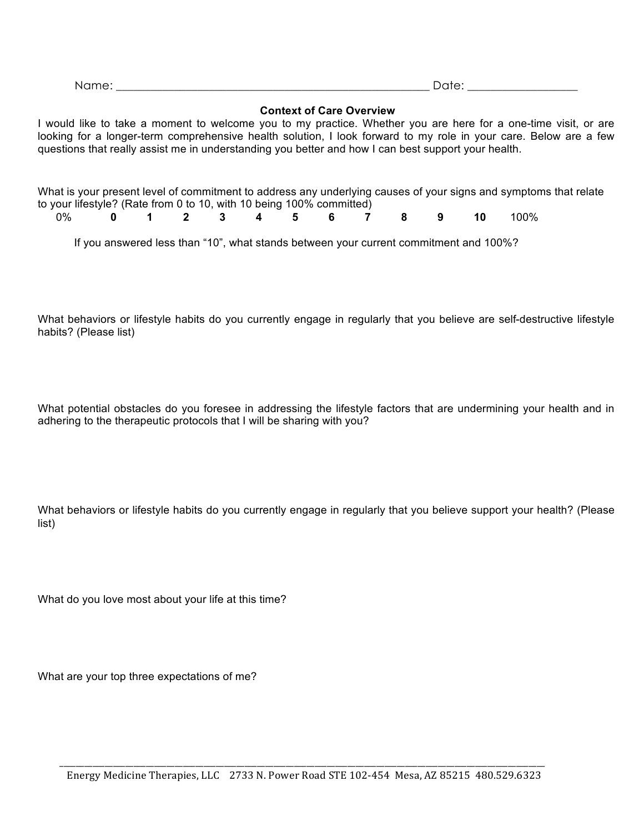| Name: | .    |
|-------|------|
|       | $ -$ |

### **Context of Care Overview**

I would like to take a moment to welcome you to my practice. Whether you are here for a one-time visit, or are looking for a longer-term comprehensive health solution, I look forward to my role in your care. Below are a few questions that really assist me in understanding you better and how I can best support your health.

What is your present level of commitment to address any underlying causes of your signs and symptoms that relate to your lifestyle? (Rate from 0 to 10, with 10 being 100% committed)<br>0% 0 1 2 3 4 5 6 7

| 0% <b>0 1 2 3 4 5 6 7 8 9 10</b> 100% |  |  |  |  |  |  |
|---------------------------------------|--|--|--|--|--|--|
|                                       |  |  |  |  |  |  |

If you answered less than "10", what stands between your current commitment and 100%?

What behaviors or lifestyle habits do you currently engage in regularly that you believe are self-destructive lifestyle habits? (Please list)

What potential obstacles do you foresee in addressing the lifestyle factors that are undermining your health and in adhering to the therapeutic protocols that I will be sharing with you?

What behaviors or lifestyle habits do you currently engage in regularly that you believe support your health? (Please list)

What do you love most about your life at this time?

What are your top three expectations of me?